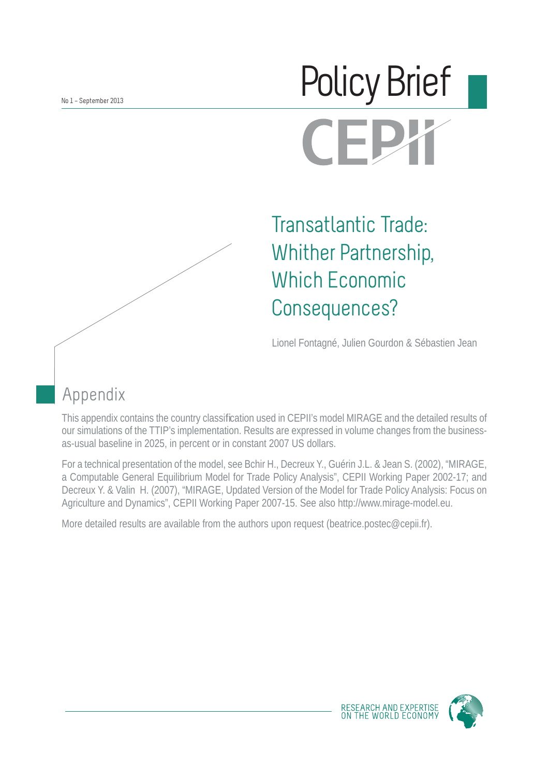# Policy Brief**CEP**

Transatlantic Trade: Whither Partnership, Which Economic Consequences?

Lionel Fontagné, Julien Gourdon & Sébastien Jean

## Appendix

This appendix contains the country classification used in CEPII's model MIRAGE and the detailed results of our simulations of the TTIP's implementation. Results are expressed in volume changes from the businessas-usual baseline in 2025, in percent or in constant 2007 US dollars.

For a technical presentation of the model, see Bchir H., Decreux Y., Guérin J.L. & Jean S. (2002), "MIRAGE, a Computable General Equilibrium Model for Trade Policy Analysis", CEPII Working Paper 2002-17; and Decreux Y. & Valin H. (2007), "MIRAGE, Updated Version of the Model for Trade Policy Analysis: Focus on Agriculture and Dynamics", CEPII Working Paper 2007-15. See also http://www.mirage-model.eu.

More detailed results are available from the authors upon request (beatrice.postec@cepii.fr).



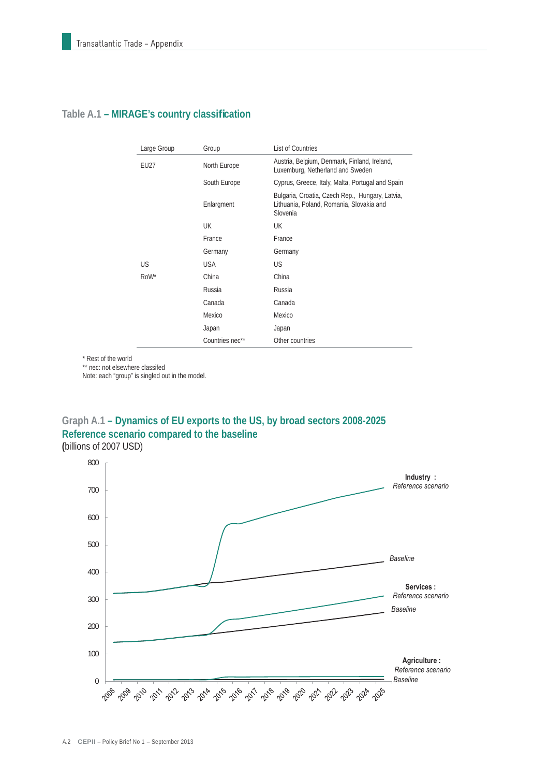| Large Group | Group           | <b>List of Countries</b>                                                                                |
|-------------|-----------------|---------------------------------------------------------------------------------------------------------|
| EU27        | North Europe    | Austria, Belgium, Denmark, Finland, Ireland,<br>Luxemburg, Netherland and Sweden                        |
|             | South Europe    | Cyprus, Greece, Italy, Malta, Portugal and Spain                                                        |
|             | Enlargment      | Bulgaria, Croatia, Czech Rep., Hungary, Latvia,<br>Lithuania, Poland, Romania, Slovakia and<br>Slovenia |
|             | <b>UK</b>       | UK                                                                                                      |
|             | France          | France                                                                                                  |
|             | Germany         | Germany                                                                                                 |
| US          | <b>USA</b>      | US                                                                                                      |
| RoW*        | China           | China                                                                                                   |
|             | Russia          | Russia                                                                                                  |
|             | Canada          | Canada                                                                                                  |
|             | Mexico          | Mexico                                                                                                  |
|             | Japan           | Japan                                                                                                   |
|             | Countries nec** | Other countries                                                                                         |

#### Table A.1 - MIRAGE's country classification

\* Rest of the world

\*\* nec: not elsewhere classifed

Note: each "group" is singled out in the model.



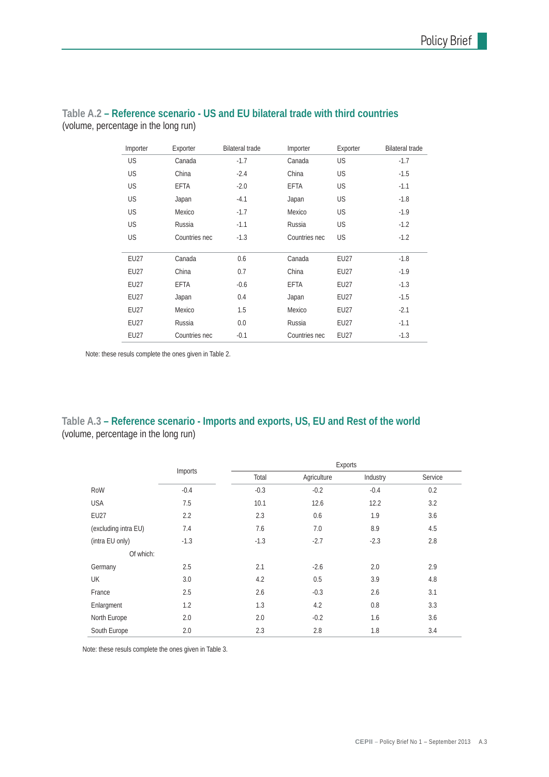| Importer    | Exporter      | <b>Bilateral trade</b> | Importer      | Exporter  | <b>Bilateral trade</b> |
|-------------|---------------|------------------------|---------------|-----------|------------------------|
| <b>US</b>   | Canada        | $-1.7$                 | Canada        | <b>US</b> | $-1.7$                 |
| US          | China         | $-2.4$                 | China         | <b>US</b> | $-1.5$                 |
| US          | EFTA          | $-2.0$                 | <b>EFTA</b>   | <b>US</b> | $-1.1$                 |
| US          | Japan         | $-4.1$                 | Japan         | US        | $-1.8$                 |
| US          | Mexico        | $-1.7$                 | Mexico        | <b>US</b> | $-1.9$                 |
| US          | Russia        | $-1.1$                 | Russia        | <b>US</b> | $-1.2$                 |
| US          | Countries nec | $-1.3$                 | Countries nec | US        | $-1.2$                 |
|             |               |                        |               |           |                        |
| EU27        | Canada        | 0.6                    | Canada        | EU27      | $-1.8$                 |
| EU27        | China         | 0.7                    | China         | EU27      | $-1.9$                 |
| EU27        | EFTA          | $-0.6$                 | EFTA          | EU27      | $-1.3$                 |
| EU27        | Japan         | 0.4                    | Japan         | EU27      | $-1.5$                 |
| EU27        | Mexico        | 1.5                    | Mexico        | EU27      | $-2.1$                 |
| <b>EU27</b> | Russia        | 0.0                    | Russia        | EU27      | $-1.1$                 |
| EU27        | Countries nec | $-0.1$                 | Countries nec | EU27      | $-1.3$                 |

#### **Table A.2 – Reference scenario - US and EU bilateral trade with third countries** (volume, percentage in the long run)

Note: these resuls complete the ones given in Table 2.

#### **Table A.3 – Reference scenario - Imports and exports, US, EU and Rest of the world** (volume, percentage in the long run)

|                      | Imports |        |             |          |         |
|----------------------|---------|--------|-------------|----------|---------|
|                      |         | Total  | Agriculture | Industry | Service |
| RoW                  | $-0.4$  | $-0.3$ | $-0.2$      | $-0.4$   | 0.2     |
| <b>USA</b>           | 7.5     | 10.1   | 12.6        | 12.2     | 3.2     |
| <b>EU27</b>          | 2.2     | 2.3    | 0.6         | 1.9      | 3.6     |
| (excluding intra EU) | 7.4     | 7.6    | 7.0         | 8.9      | 4.5     |
| (intra EU only)      | $-1.3$  | $-1.3$ | $-2.7$      | $-2.3$   | 2.8     |
| Of which:            |         |        |             |          |         |
| Germany              | 2.5     | 2.1    | $-2.6$      | 2.0      | 2.9     |
| UK                   | 3.0     | 4.2    | 0.5         | 3.9      | 4.8     |
| France               | 2.5     | 2.6    | $-0.3$      | 2.6      | 3.1     |
| Enlargment           | 1.2     | 1.3    | 4.2         | 0.8      | 3.3     |
| North Europe         | 2.0     | 2.0    | $-0.2$      | 1.6      | 3.6     |
| South Europe         | 2.0     | 2.3    | 2.8         | 1.8      | 3.4     |

Note: these resuls complete the ones given in Table 3.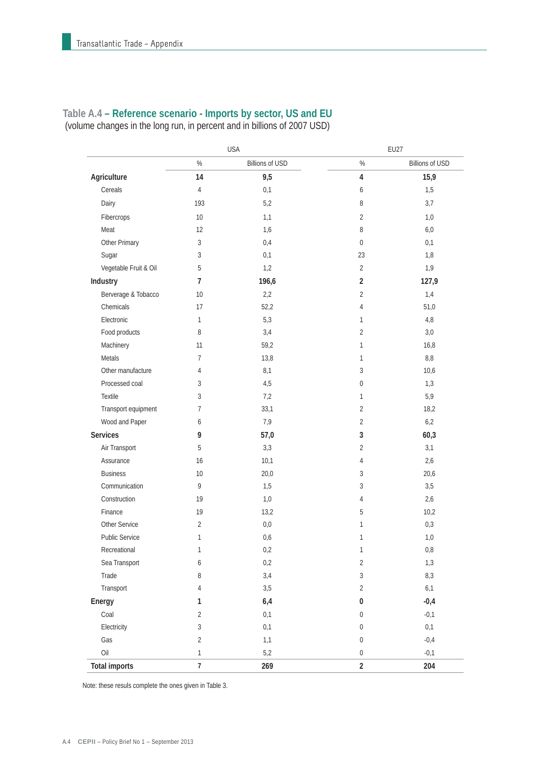### **Table A.4 – Reference scenario - Imports by sector, US and EU**

(volume changes in the long run, in percent and in billions of 2007 USD)

|                       |                | <b>USA</b>             | EU27                    |                        |  |
|-----------------------|----------------|------------------------|-------------------------|------------------------|--|
|                       | $\%$           | <b>Billions of USD</b> | $\%$                    | <b>Billions of USD</b> |  |
| Agriculture           | 14             | 9,5                    | $\overline{\mathbf{4}}$ | 15,9                   |  |
| Cereals               | 4              | 0,1                    | 6                       | 1,5                    |  |
| Dairy                 | 193            | 5,2                    | 8                       | 3,7                    |  |
| Fibercrops            | 10             | 1,1                    | $\overline{2}$          | 1,0                    |  |
| Meat                  | 12             | 1,6                    | 8                       | 6,0                    |  |
| Other Primary         | 3              | 0,4                    | $\boldsymbol{0}$        | 0,1                    |  |
| Sugar                 | 3              | 0,1                    | 23                      | 1,8                    |  |
| Vegetable Fruit & Oil | 5              | 1,2                    | $\overline{2}$          | 1,9                    |  |
| Industry              | $\overline{7}$ | 196,6                  | $\sqrt{2}$              | 127,9                  |  |
| Berverage & Tobacco   | 10             | 2,2                    | $\overline{2}$          | 1,4                    |  |
| Chemicals             | 17             | 52,2                   | $\overline{4}$          | 51,0                   |  |
| Electronic            | 1              | 5,3                    | $\mathbf{1}$            | $4,8$                  |  |
| Food products         | 8              | 3,4                    | $\overline{2}$          | 3,0                    |  |
| Machinery             | 11             | 59,2                   | $\mathbf{1}$            | 16,8                   |  |
| Metals                | 7              | 13,8                   | $\mathbf{1}$            | 8,8                    |  |
| Other manufacture     | 4              | 8,1                    | 3                       | 10,6                   |  |
| Processed coal        | 3              | 4,5                    | $\mathbf 0$             | 1,3                    |  |
| Textile               | 3              | 7,2                    | 1                       | 5,9                    |  |
| Transport equipment   | 7              | 33,1                   | $\overline{2}$          | 18,2                   |  |
| Wood and Paper        | 6              | 7,9                    | $\overline{2}$          | 6,2                    |  |
| Services              | 9              | 57,0                   | 3                       | 60,3                   |  |
| Air Transport         | 5              | 3,3                    | $\overline{2}$          | 3,1                    |  |
| Assurance             | 16             | 10,1                   | $\overline{4}$          | 2,6                    |  |
| <b>Business</b>       | 10             | 20,0                   | 3                       | 20,6                   |  |
| Communication         | 9              | 1,5                    | 3                       | 3,5                    |  |
| Construction          | 19             | 1,0                    | $\overline{4}$          | 2,6                    |  |
| Finance               | 19             | 13,2                   | 5                       | 10,2                   |  |
| <b>Other Service</b>  | $\overline{2}$ | 0,0                    | $\mathbf{1}$            | 0,3                    |  |
| <b>Public Service</b> | 1              | 0,6                    | $\mathbf{1}$            | 1,0                    |  |
| Recreational          | 1              | 0,2                    | $\mathbf{1}$            | 0,8                    |  |
| Sea Transport         | 6              | 0,2                    | 2                       | 1,3                    |  |
| Trade                 | 8              | 3,4                    | $\sqrt{3}$              | 8,3                    |  |
| Transport             | 4              | 3,5                    | $\overline{2}$          | 6,1                    |  |
| Energy                | 1              | 6,4                    | $\pmb{0}$               | $-0,4$                 |  |
| Coal                  | $\overline{2}$ | 0,1                    | $\boldsymbol{0}$        | $-0,1$                 |  |
| Electricity           | 3              | 0,1                    | $\boldsymbol{0}$        | 0,1                    |  |
| Gas                   | $\overline{2}$ | 1,1                    | $\boldsymbol{0}$        | $-0,4$                 |  |
| Oil                   | $\mathbf{1}$   | 5,2                    | $\boldsymbol{0}$        | $-0,1$                 |  |
| <b>Total imports</b>  | $\overline{7}$ | 269                    | $\overline{2}$          | 204                    |  |

Note: these resuls complete the ones given in Table 3.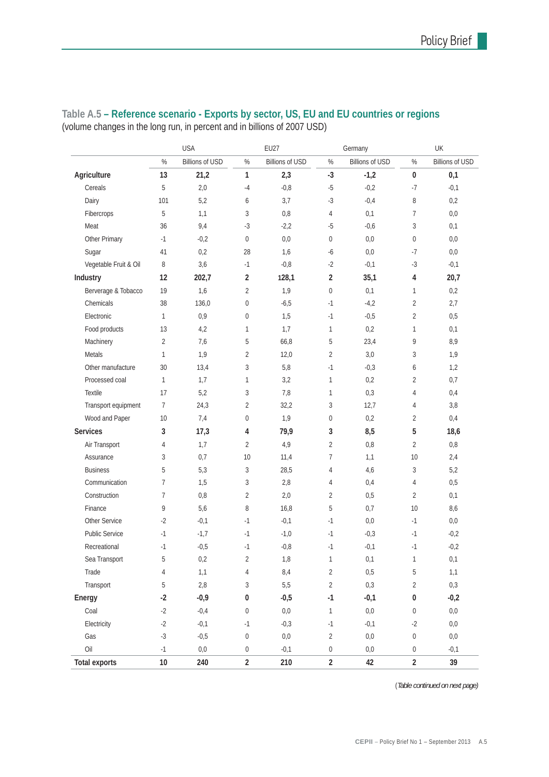|                       | <b>USA</b>      |                        |                | EU27                   |                  | Germany                |                | UK                     |  |
|-----------------------|-----------------|------------------------|----------------|------------------------|------------------|------------------------|----------------|------------------------|--|
|                       | $\%$            | <b>Billions of USD</b> | $\%$           | <b>Billions of USD</b> | $\%$             | <b>Billions of USD</b> | $\%$           | <b>Billions of USD</b> |  |
| Agriculture           | 13              | 21,2                   | 1              | 2,3                    | $-3$             | $-1,2$                 | 0              | 0,1                    |  |
| Cereals               | 5               | 2,0                    | $-4$           | $-0,8$                 | $-5$             | $-0,2$                 | $-7$           | $-0,1$                 |  |
| Dairy                 | 101             | 5,2                    | 6              | 3,7                    | $-3$             | $-0,4$                 | 8              | 0,2                    |  |
| Fibercrops            | 5               | 1,1                    | 3              | 0,8                    | 4                | 0,1                    | 7              | 0,0                    |  |
| Meat                  | 36              | 9,4                    | $-3$           | $-2,2$                 | $-5$             | $-0,6$                 | 3              | $0,1$                  |  |
| Other Primary         | $-1$            | $-0,2$                 | 0              | 0,0                    | $\boldsymbol{0}$ | 0,0                    | 0              | 0,0                    |  |
| Sugar                 | 41              | 0,2                    | 28             | 1,6                    | $-6$             | 0,0                    | $-7$           | 0,0                    |  |
| Vegetable Fruit & Oil | 8               | 3,6                    | $-1$           | $-0,8$                 | -2               | $-0,1$                 | $-3$           | $-0,1$                 |  |
| Industry              | 12              | 202,7                  | $\overline{2}$ | 128,1                  | $\overline{2}$   | 35,1                   | 4              | 20,7                   |  |
| Berverage & Tobacco   | 19              | 1,6                    | $\overline{2}$ | 1,9                    | 0                | 0,1                    | 1              | 0,2                    |  |
| Chemicals             | 38              | 136,0                  | 0              | $-6,5$                 | $-1$             | $-4,2$                 | $\overline{2}$ | 2,7                    |  |
| Electronic            | $\mathbf{1}$    | 0,9                    | 0              | 1,5                    | $-1$             | $-0,5$                 | $\overline{2}$ | 0,5                    |  |
| Food products         | 13              | 4,2                    | 1              | 1,7                    | $\mathbf{1}$     | 0,2                    | 1              | 0,1                    |  |
| Machinery             | $\overline{2}$  | 7,6                    | 5              | 66,8                   | 5                | 23,4                   | 9              | 8,9                    |  |
| Metals                | $\mathbf{1}$    | 1,9                    | 2              | 12,0                   | $\overline{2}$   | 3,0                    | 3              | 1,9                    |  |
| Other manufacture     | 30              | 13,4                   | 3              | 5,8                    | $-1$             | $-0,3$                 | 6              | 1,2                    |  |
| Processed coal        | 1               | 1,7                    | 1              | 3,2                    | $\mathbf{1}$     | 0,2                    | 2              | 0,7                    |  |
| Textile               | 17              | 5,2                    | 3              | 7,8                    | $\mathbf{1}$     | 0,3                    | 4              | 0,4                    |  |
| Transport equipment   | 7               | 24,3                   | $\overline{2}$ | 32,2                   | 3                | 12,7                   | 4              | 3,8                    |  |
| Wood and Paper        | 10 <sup>°</sup> | 7,4                    | 0              | 1,9                    | 0                | 0,2                    | 2              | 0,4                    |  |
| <b>Services</b>       | 3               | 17,3                   | 4              | 79,9                   | 3                | 8,5                    | 5              | 18,6                   |  |
| Air Transport         | 4               | 1,7                    | $\overline{2}$ | 4,9                    | $\overline{2}$   | 0,8                    | $\overline{2}$ | $0,8$                  |  |
| Assurance             | 3               | 0,7                    | 10             | 11,4                   | 7                | 1,1                    | 10             | 2,4                    |  |
| <b>Business</b>       | 5               | 5,3                    | 3              | 28,5                   | 4                | 4,6                    | 3              | 5,2                    |  |
| Communication         | $\overline{7}$  | 1,5                    | 3              | 2,8                    | 4                | 0,4                    | 4              | 0,5                    |  |
| Construction          | $\overline{7}$  | 0,8                    | $\overline{2}$ | 2,0                    | $\overline{2}$   | 0,5                    | 2              | 0,1                    |  |
| Finance               | 9               | 5,6                    | 8              | 16,8                   | 5                | 0,7                    | 10             | 8,6                    |  |
| Other Service         | $-2$            | $-0,1$                 | $-1$           | $-0,1$                 | $-1$             | 0,0                    | $-1$           | $0,0$                  |  |
| Public Service        | $-1$            | $-1,7$                 | $-1$           | $-1,0$                 | $-1$             | $-0,3$                 | $-1$           | $-0,2$                 |  |
| Recreational          | $-1$            | $-0,5$                 | $-1$           | $-0,8$                 | $-1$             | $-0,1$                 | $-1$           | $-0,2$                 |  |
| Sea Transport         | 5               | $0,2$                  | 2              | 1,8                    | 1                | 0,1                    | $\mathbf{1}$   | $0,1$                  |  |
| Trade                 | 4               | 1,1                    | 4              | 8,4                    | $\sqrt{2}$       | 0,5                    | 5              | 1,1                    |  |
| Transport             | 5               | $2,8$                  | 3              | 5,5                    | $\overline{2}$   | 0,3                    | $\overline{2}$ | 0,3                    |  |
| Energy                | $-2$            | $-0,9$                 | 0              | $-0,5$                 | $\cdot 1$        | $-0,1$                 | 0              | $-0,2$                 |  |
| Coal                  | $-2$            | $-0,4$                 | 0              | 0,0                    | $\mathbf{1}$     | $0,\!0$                | 0              | $0,0$                  |  |
| Electricity           | $-2$            | $-0,1$                 | $-1$           | $-0,3$                 | $-1$             | $-0,1$                 | $-2$           | $0,0$                  |  |
| Gas                   | $-3$            | $-0,5$                 | 0              | 0,0                    | $\overline{2}$   | $0,\!0$                | 0              | 0,0                    |  |
| Oil                   | $-1$            | 0,0                    | 0              | $-0,1$                 | $\boldsymbol{0}$ | 0,0                    | 0              | $-0,1$                 |  |
| <b>Total exports</b>  | 10              | 240                    | $\overline{2}$ | 210                    | $\overline{2}$   | 42                     | $\overline{2}$ | 39                     |  |

#### **Table A.5 – Reference scenario - Exports by sector, US, EU and EU countries or regions** (volume changes in the long run, in percent and in billions of 2007 USD)

(*Table continued on next page)*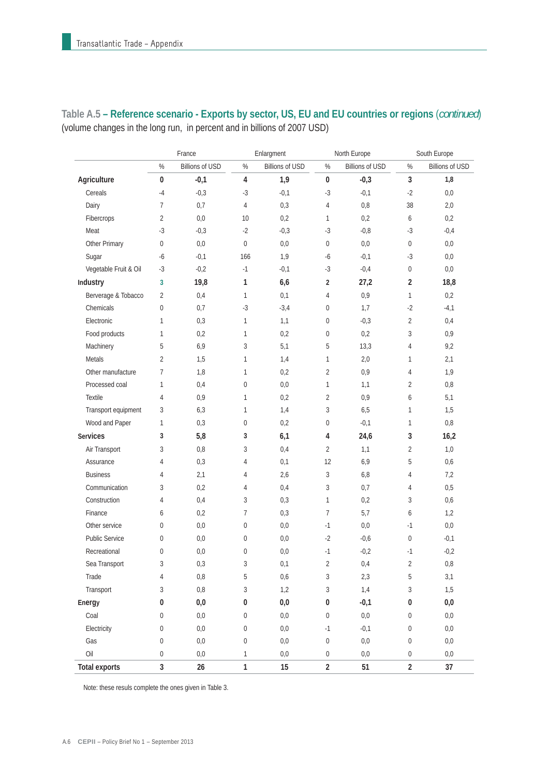|                       | France           |                        |                  | Enlargment             |                  | North Europe           |                  | South Europe           |  |
|-----------------------|------------------|------------------------|------------------|------------------------|------------------|------------------------|------------------|------------------------|--|
|                       | $\%$             | <b>Billions of USD</b> | $\%$             | <b>Billions of USD</b> | $\%$             | <b>Billions of USD</b> | %                | <b>Billions of USD</b> |  |
| Agriculture           | 0                | $-0,1$                 | $\overline{4}$   | 1,9                    | $\pmb{0}$        | $-0,3$                 | 3                | 1,8                    |  |
| Cereals               | $-4$             | $-0,3$                 | $-3$             | $-0,1$                 | $-3$             | $-0,1$                 | $-2$             | 0,0                    |  |
| Dairy                 | 7                | 0,7                    | 4                | 0,3                    | 4                | $0,8$                  | 38               | 2,0                    |  |
| Fibercrops            | $\overline{2}$   | 0,0                    | 10               | 0,2                    | $\mathbf{1}$     | 0,2                    | 6                | 0,2                    |  |
| Meat                  | $-3$             | $-0,3$                 | $-2$             | $-0,3$                 | $-3$             | $-0,8$                 | $-3$             | $-0,4$                 |  |
| Other Primary         | 0                | 0,0                    | $\bf 0$          | 0,0                    | 0                | 0,0                    | 0                | 0,0                    |  |
| Sugar                 | -6               | $-0,1$                 | 166              | 1,9                    | $-6$             | $-0,1$                 | $-3$             | 0,0                    |  |
| Vegetable Fruit & Oil | $-3$             | $-0,2$                 | $-1$             | $-0,1$                 | $-3$             | $-0,4$                 | $\boldsymbol{0}$ | 0,0                    |  |
| Industry              | 3                | 19,8                   | $\mathbf{1}$     | 6,6                    | $\overline{2}$   | 27,2                   | $\overline{2}$   | 18,8                   |  |
| Berverage & Tobacco   | $\overline{2}$   | 0,4                    | $\mathbf{1}$     | 0,1                    | 4                | 0,9                    | $\mathbf{1}$     | 0,2                    |  |
| Chemicals             | $\overline{0}$   | 0,7                    | $-3$             | $-3,4$                 | $\boldsymbol{0}$ | 1,7                    | $-2$             | $-4,1$                 |  |
| Electronic            | $\mathbf{1}$     | 0,3                    | $\mathbf{1}$     | 1,1                    | 0                | $-0,3$                 | $\overline{2}$   | 0,4                    |  |
| Food products         | 1                | 0,2                    | $\mathbf{1}$     | 0,2                    | 0                | 0,2                    | 3                | 0,9                    |  |
| Machinery             | 5                | 6,9                    | 3                | 5,1                    | 5                | 13,3                   | $\overline{4}$   | 9,2                    |  |
| Metals                | $\overline{2}$   | 1,5                    | 1                | 1,4                    | $\mathbf{1}$     | 2,0                    | $\mathbf{1}$     | 2,1                    |  |
| Other manufacture     | 7                | 1,8                    | 1                | 0,2                    | $\overline{2}$   | 0,9                    | $\overline{4}$   | 1,9                    |  |
| Processed coal        | 1                | 0,4                    | $\boldsymbol{0}$ | 0,0                    | $\mathbf{1}$     | 1,1                    | $\overline{2}$   | 0,8                    |  |
| Textile               | 4                | 0,9                    | 1                | 0,2                    | 2                | 0,9                    | 6                | 5,1                    |  |
| Transport equipment   | 3                | 6,3                    | 1                | 1,4                    | 3                | 6,5                    | $\mathbf{1}$     | 1,5                    |  |
| Wood and Paper        | $\mathbf{1}$     | 0,3                    | $\,0\,$          | 0,2                    | $\boldsymbol{0}$ | $-0,1$                 | $\mathbf{1}$     | 0,8                    |  |
| Services              | 3                | 5,8                    | 3                | 6,1                    | 4                | 24,6                   | $\sqrt{3}$       | 16,2                   |  |
| Air Transport         | 3                | 0,8                    | 3                | 0,4                    | $\overline{2}$   | 1,1                    | $\overline{2}$   | 1,0                    |  |
| Assurance             | 4                | 0,3                    | 4                | 0,1                    | 12               | 6,9                    | 5                | 0,6                    |  |
| <b>Business</b>       | 4                | 2,1                    | 4                | 2,6                    | 3                | 6,8                    | $\overline{4}$   | 7,2                    |  |
| Communication         | 3                | 0,2                    | 4                | 0,4                    | 3                | 0,7                    | $\overline{4}$   | 0,5                    |  |
| Construction          | 4                | 0,4                    | 3                | 0,3                    | $\mathbf{1}$     | 0,2                    | 3                | 0,6                    |  |
| Finance               | 6                | 0,2                    | 7                | 0,3                    | 7                | 5,7                    | 6                | 1,2                    |  |
| Other service         | 0                | 0,0                    | $\boldsymbol{0}$ | 0,0                    | $-1$             | 0,0                    | $-1$             | 0,0                    |  |
| <b>Public Service</b> | 0                | 0,0                    | $\boldsymbol{0}$ | 0,0                    | $-2$             | $-0,6$                 | 0                | $-0,1$                 |  |
| Recreational          | 0                | 0,0                    | $\mathbf 0$      | 0,0                    | $-1$             | $-0,2$                 | $-1$             | $-0,2$                 |  |
| Sea Transport         | 3                | 0,3                    | 3                | 0,1                    | 2                | 0,4                    | 2                | $0,\!8$                |  |
| Trade                 | 4                | $0,8$                  | 5                | 0,6                    | $\sqrt{3}$       | 2,3                    | 5                | 3,1                    |  |
| Transport             | 3                | $0,8$                  | 3                | 1,2                    | $\sqrt{3}$       | 1,4                    | $\mathfrak{Z}$   | 1,5                    |  |
| Energy                | 0                | 0,0                    | $\pmb{0}$        | 0,0                    | $\pmb{0}$        | $-0,1$                 | 0                | 0,0                    |  |
| Coal                  | $\boldsymbol{0}$ | 0,0                    | $\boldsymbol{0}$ | 0,0                    | $\boldsymbol{0}$ | $0,\!0$                | $\boldsymbol{0}$ | $0,0$                  |  |
| Electricity           | $\mathbf 0$      | $0,0$                  | $\boldsymbol{0}$ | 0,0                    | $-1$             | $-0,1$                 | $\boldsymbol{0}$ | $0,0$                  |  |
| Gas                   | $\boldsymbol{0}$ | $0,0$                  | $\boldsymbol{0}$ | 0,0                    | $\boldsymbol{0}$ | $0,\!0$                | $\boldsymbol{0}$ | $0,0$                  |  |
| Oil                   | $\boldsymbol{0}$ | $0,0$                  | $\mathbf{1}$     | $0,0$                  | $\boldsymbol{0}$ | 0,0                    | $\boldsymbol{0}$ | $0,0$                  |  |
| <b>Total exports</b>  | $\overline{3}$   | $26\,$                 | $\mathbf{1}$     | 15                     | $\overline{2}$   | 51                     | $\overline{2}$   | 37                     |  |

**Table A.5 – Reference scenario - Exports by sector, US, EU and EU countries or regions** (*continued*) (volume changes in the long run, in percent and in billions of 2007 USD)

Note: these resuls complete the ones given in Table 3.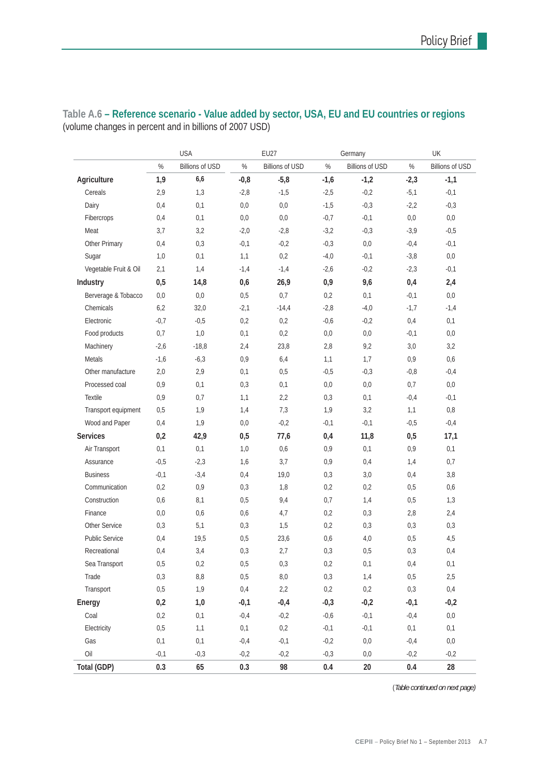|                       | <b>USA</b> |                        |        | <b>EU27</b>            |        | Germany                |        | UK              |  |
|-----------------------|------------|------------------------|--------|------------------------|--------|------------------------|--------|-----------------|--|
|                       | $\%$       | <b>Billions of USD</b> | $\%$   | <b>Billions of USD</b> | $\%$   | <b>Billions of USD</b> | %      | Billions of USD |  |
| Agriculture           | 1,9        | 6,6                    | $-0,8$ | $-5,8$                 | $-1,6$ | $-1,2$                 | $-2,3$ | $-1,1$          |  |
| Cereals               | 2,9        | 1,3                    | $-2,8$ | $-1,5$                 | $-2,5$ | $-0,2$                 | $-5,1$ | $-0,1$          |  |
| Dairy                 | 0,4        | 0,1                    | 0,0    | 0,0                    | $-1,5$ | $-0,3$                 | $-2,2$ | $-0,3$          |  |
| Fibercrops            | 0,4        | 0,1                    | 0,0    | 0,0                    | $-0,7$ | $-0,1$                 | 0,0    | 0,0             |  |
| Meat                  | 3,7        | 3,2                    | $-2,0$ | $-2,8$                 | $-3,2$ | $-0,3$                 | $-3,9$ | $-0,5$          |  |
| Other Primary         | 0,4        | 0,3                    | $-0,1$ | $-0,2$                 | $-0,3$ | 0,0                    | $-0,4$ | $-0,1$          |  |
| Sugar                 | 1,0        | 0,1                    | 1,1    | 0,2                    | $-4,0$ | $-0,1$                 | $-3,8$ | 0,0             |  |
| Vegetable Fruit & Oil | 2,1        | 1,4                    | $-1,4$ | $-1,4$                 | $-2,6$ | $-0,2$                 | $-2,3$ | $-0,1$          |  |
| Industry              | 0,5        | 14,8                   | 0,6    | 26,9                   | 0,9    | 9,6                    | 0,4    | 2,4             |  |
| Berverage & Tobacco   | 0,0        | 0,0                    | 0,5    | 0,7                    | 0,2    | 0,1                    | $-0,1$ | 0,0             |  |
| Chemicals             | 6,2        | 32,0                   | $-2,1$ | $-14,4$                | $-2,8$ | $-4,0$                 | $-1,7$ | $-1,4$          |  |
| Electronic            | $-0,7$     | $-0,5$                 | 0,2    | 0,2                    | $-0,6$ | $-0,2$                 | 0,4    | 0,1             |  |
| Food products         | 0,7        | 1,0                    | 0,1    | 0,2                    | 0,0    | 0,0                    | $-0,1$ | $0,\!0$         |  |
| Machinery             | $-2,6$     | $-18,8$                | 2,4    | 23,8                   | 2,8    | 9,2                    | 3,0    | 3,2             |  |
| Metals                | $-1,6$     | $-6,3$                 | 0,9    | 6,4                    | 1,1    | 1,7                    | 0,9    | 0,6             |  |
| Other manufacture     | 2,0        | 2,9                    | 0,1    | 0,5                    | $-0,5$ | $-0,3$                 | $-0,8$ | $-0,4$          |  |
| Processed coal        | 0,9        | 0,1                    | 0,3    | 0,1                    | 0,0    | 0,0                    | 0,7    | 0,0             |  |
| Textile               | 0,9        | 0,7                    | 1,1    | 2,2                    | 0,3    | 0,1                    | $-0,4$ | $-0,1$          |  |
| Transport equipment   | 0,5        | 1,9                    | 1,4    | 7,3                    | 1,9    | 3,2                    | 1,1    | 0,8             |  |
| Wood and Paper        | 0,4        | 1,9                    | 0,0    | $-0,2$                 | $-0,1$ | $-0,1$                 | $-0,5$ | $-0,4$          |  |
| <b>Services</b>       | 0,2        | 42,9                   | 0,5    | 77,6                   | 0,4    | 11,8                   | 0,5    | 17,1            |  |
| Air Transport         | 0,1        | 0,1                    | 1,0    | 0,6                    | 0,9    | 0,1                    | 0,9    | 0,1             |  |
| Assurance             | $-0,5$     | $-2,3$                 | 1,6    | 3,7                    | 0,9    | 0,4                    | 1,4    | 0,7             |  |
| <b>Business</b>       | $-0,1$     | $-3,4$                 | 0,4    | 19,0                   | 0,3    | 3,0                    | 0,4    | $3,8$           |  |
| Communication         | 0,2        | 0,9                    | 0,3    | 1,8                    | 0,2    | 0,2                    | 0,5    | 0,6             |  |
| Construction          | 0,6        | 8,1                    | 0,5    | 9,4                    | 0,7    | 1,4                    | 0,5    | 1,3             |  |
| Finance               | 0,0        | 0,6                    | 0,6    | 4,7                    | 0,2    | 0,3                    | 2,8    | 2,4             |  |
| Other Service         | 0,3        | 5,1                    | 0,3    | 1,5                    | 0,2    | 0,3                    | 0,3    | 0,3             |  |
| Public Service        | 0,4        | 19,5                   | 0,5    | 23,6                   | 0,6    | 4,0                    | 0,5    | 4,5             |  |
| Recreational          | 0,4        | 3,4                    | 0,3    | 2,7                    | 0,3    | 0,5                    | 0,3    | 0,4             |  |
| Sea Transport         | $0,5$      | 0,2                    | $0,5$  | 0,3                    | $0,2$  | $0,1$                  | 0,4    | $0,1$           |  |
| Trade                 | 0,3        | 8,8                    | 0,5    | 8,0                    | 0,3    | 1,4                    | 0,5    | 2,5             |  |
| Transport             | 0,5        | 1,9                    | 0,4    | 2,2                    | 0,2    | 0,2                    | 0,3    | 0,4             |  |
| Energy                | 0,2        | 1,0                    | $-0,1$ | $-0,4$                 | $-0,3$ | $-0,2$                 | $-0,1$ | $-0,2$          |  |
| Coal                  | 0,2        | $0,1$                  | $-0,4$ | $-0,2$                 | $-0,6$ | $-0,1$                 | $-0,4$ | $0,0$           |  |
| Electricity           | 0,5        | 1,1                    | $0,1$  | 0,2                    | $-0,1$ | $-0,1$                 | $0,1$  | $0,1$           |  |
| Gas                   | 0,1        | $0,1$                  | $-0,4$ | $-0,1$                 | $-0,2$ | 0,0                    | $-0,4$ | $0,0$           |  |
| Oil                   | $-0,1$     | $-0,3$                 | $-0,2$ | $-0,2$                 | $-0,3$ | 0,0                    | $-0,2$ | $-0,2$          |  |
| Total (GDP)           | 0.3        | 65                     | 0.3    | 98                     | 0.4    | 20                     | 0.4    | 28              |  |

**Table A.6 – Reference scenario - Value added by sector, USA, EU and EU countries or regions** (volume changes in percent and in billions of 2007 USD)

(*Table continued on next page)*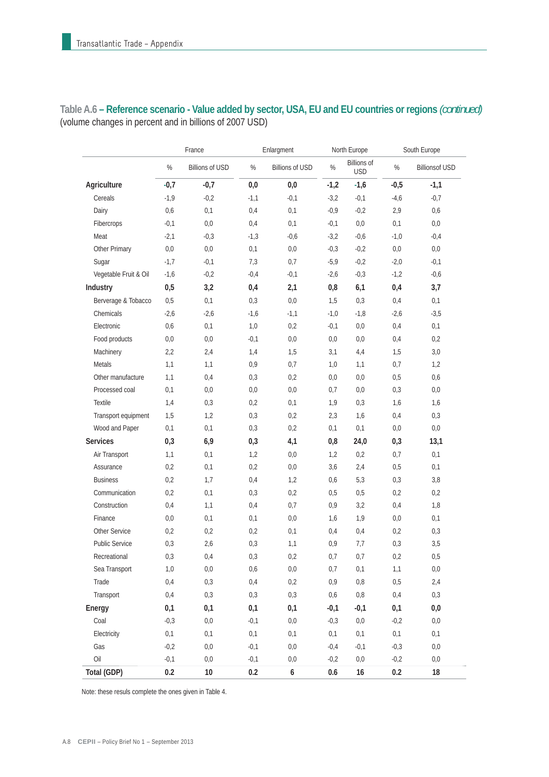|                       |        | France                 | Enlargment |                        | North Europe |                                  | South Europe |                       |
|-----------------------|--------|------------------------|------------|------------------------|--------------|----------------------------------|--------------|-----------------------|
|                       | $\%$   | <b>Billions of USD</b> | $\%$       | <b>Billions of USD</b> | $\%$         | <b>Billions of</b><br><b>USD</b> | $\%$         | <b>Billionsof USD</b> |
| Agriculture           | $-0,7$ | $-0,7$                 | 0,0        | 0,0                    | $-1,2$       | $-1,6$                           | $-0,5$       | $-1,1$                |
| Cereals               | $-1,9$ | $-0,2$                 | $-1,1$     | $-0,1$                 | $-3,2$       | $-0,1$                           | $-4,6$       | $-0,7$                |
| Dairy                 | 0,6    | 0,1                    | 0,4        | 0,1                    | $-0,9$       | $-0,2$                           | 2,9          | 0,6                   |
| Fibercrops            | $-0,1$ | 0,0                    | 0,4        | 0,1                    | $-0,1$       | $0,0$                            | 0,1          | 0,0                   |
| Meat                  | $-2,1$ | $-0,3$                 | $-1,3$     | $-0,6$                 | $-3,2$       | $-0,6$                           | $-1,0$       | $-0,4$                |
| Other Primary         | 0,0    | 0,0                    | 0,1        | 0,0                    | $-0,3$       | $-0,2$                           | 0,0          | 0,0                   |
| Sugar                 | $-1,7$ | $-0,1$                 | 7,3        | 0,7                    | $-5,9$       | $-0,2$                           | $-2,0$       | $-0,1$                |
| Vegetable Fruit & Oil | $-1,6$ | $-0,2$                 | $-0,4$     | $-0,1$                 | $-2,6$       | $-0,3$                           | $-1,2$       | $-0,6$                |
| Industry              | 0,5    | 3,2                    | 0,4        | 2,1                    | 0,8          | 6,1                              | 0,4          | 3,7                   |
| Berverage & Tobacco   | 0,5    | 0,1                    | 0,3        | $0,0$                  | 1,5          | 0,3                              | 0,4          | 0,1                   |
| Chemicals             | $-2,6$ | $-2,6$                 | $-1,6$     | $-1,1$                 | $-1,0$       | $-1,8$                           | $-2,6$       | $-3,5$                |
| Electronic            | 0,6    | 0,1                    | 1,0        | 0,2                    | $-0,1$       | 0,0                              | 0,4          | 0,1                   |
| Food products         | 0,0    | 0,0                    | $-0,1$     | 0,0                    | 0,0          | 0,0                              | 0,4          | 0,2                   |
| Machinery             | 2,2    | 2,4                    | 1,4        | 1,5                    | 3,1          | 4,4                              | 1,5          | $3,0$                 |
| Metals                | 1,1    | 1,1                    | 0,9        | 0,7                    | 1,0          | 1,1                              | 0,7          | 1,2                   |
| Other manufacture     | 1,1    | 0,4                    | 0,3        | 0,2                    | 0,0          | 0,0                              | 0,5          | 0,6                   |
| Processed coal        | 0,1    | 0,0                    | 0,0        | 0,0                    | 0,7          | 0,0                              | 0,3          | 0,0                   |
| Textile               | 1,4    | 0,3                    | 0,2        | 0,1                    | 1,9          | 0,3                              | 1,6          | 1,6                   |
| Transport equipment   | 1,5    | 1,2                    | 0,3        | 0,2                    | 2,3          | 1,6                              | 0,4          | 0,3                   |
| Wood and Paper        | 0,1    | 0,1                    | 0,3        | 0,2                    | 0,1          | $0,1$                            | 0,0          | 0,0                   |
| <b>Services</b>       | 0,3    | 6,9                    | 0,3        | 4,1                    | 0,8          | 24,0                             | 0,3          | 13,1                  |
| Air Transport         | 1,1    | 0,1                    | 1,2        | 0,0                    | 1,2          | 0,2                              | 0,7          | 0,1                   |
| Assurance             | 0,2    | 0,1                    | 0,2        | 0,0                    | 3,6          | 2,4                              | 0,5          | 0,1                   |
| <b>Business</b>       | 0,2    | 1,7                    | 0,4        | 1,2                    | 0,6          | 5,3                              | 0,3          | 3,8                   |
| Communication         | 0,2    | 0,1                    | 0,3        | 0,2                    | 0,5          | 0,5                              | 0,2          | 0,2                   |
| Construction          | 0,4    | 1,1                    | 0,4        | 0,7                    | 0,9          | 3,2                              | 0,4          | 1,8                   |
| Finance               | 0,0    | 0,1                    | 0,1        | 0,0                    | 1,6          | 1,9                              | 0,0          | 0,1                   |
| Other Service         | 0,2    | 0,2                    | 0,2        | 0,1                    | 0,4          | 0,4                              | 0,2          | 0,3                   |
| Public Service        | 0,3    | 2,6                    | 0,3        | 1,1                    | 0,9          | 7,7                              | 0,3          | 3,5                   |
| Recreational          | 0,3    | 0,4                    | 0,3        | 0,2                    | 0,7          | 0,7                              | 0,2          | $0,5$                 |
| Sea Transport         | 1,0    | 0,0                    | 0,6        | 0,0                    | 0,7          | 0,1                              | 1,1          | 0,0                   |
| Trade                 | 0,4    | 0,3                    | 0,4        | 0,2                    | $0,9$        | $0,8$                            | 0,5          | 2,4                   |
| Transport             | 0,4    | 0,3                    | 0,3        | 0,3                    | 0,6          | $0,8$                            | 0,4          | 0,3                   |
| Energy                | 0,1    | 0,1                    | 0,1        | 0,1                    | $-0,1$       | $-0,1$                           | 0,1          | 0,0                   |
| Coal                  | $-0,3$ | $0,\!0$                | $-0,1$     | $0,0$                  | $-0,3$       | $0,0$                            | $-0,2$       | $0,\!0$               |
| Electricity           | 0,1    | $0,1$                  | 0,1        | $0,1$                  | $0,1$        | 0,1                              | $0,1$        | $0,1$                 |
| Gas                   | $-0,2$ | $0,0$                  | $-0,1$     | 0,0                    | $-0,4$       | $-0,1$                           | $-0,3$       | $0,0$                 |
| Oil                   | $-0,1$ | 0,0                    | $-0,1$     | 0,0                    | $-0,2$       | $0,0$                            | $-0,2$       | 0,0                   |
| Total (GDP)           | 0.2    | $10$                   | 0.2        | 6                      | 0.6          | 16                               | 0.2          | 18                    |

**Table A.6 – Reference scenario - Value added by sector, USA, EU and EU countries or regions** *(continued)* (volume changes in percent and in billions of 2007 USD)

Note: these resuls complete the ones given in Table 4.